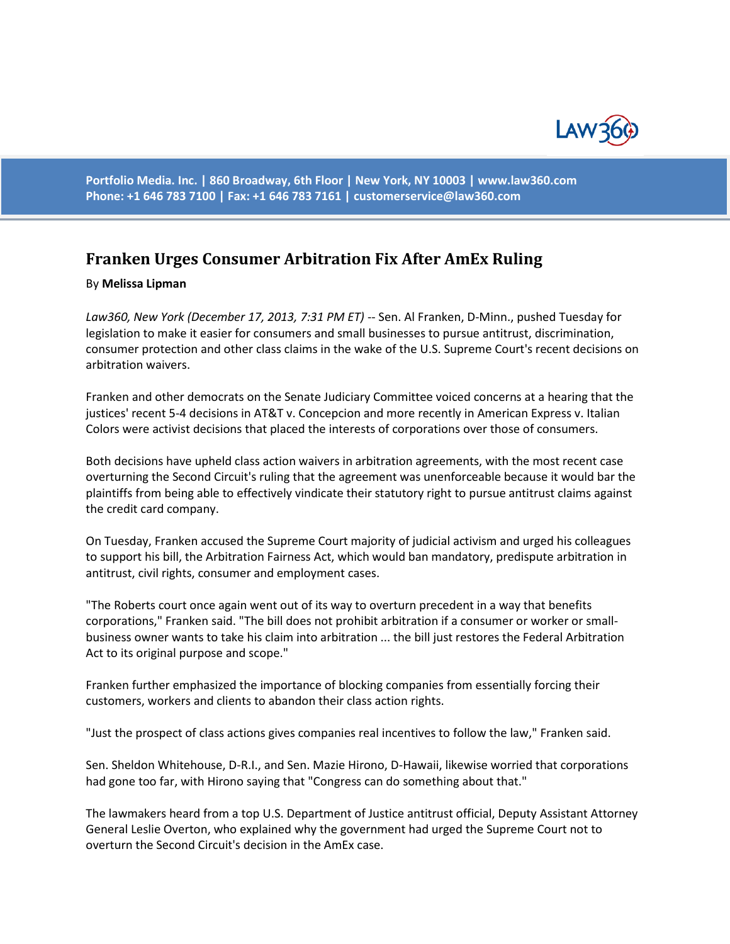

**Portfolio Media. Inc. | 860 Broadway, 6th Floor | New York, NY 10003 | www.law360.com Phone: +1 646 783 7100 | Fax: +1 646 783 7161 | [customerservice@law360.com](mailto:customerservice@law360.com)**

## **Franken Urges Consumer Arbitration Fix After AmEx Ruling**

## By **Melissa Lipman**

Law360, New York (December 17, 2013, 7:31 PM ET) -- Sen. Al Franken, D-Minn., pushed Tuesday for legislation to make it easier for consumers and small businesses to pursue antitrust, discrimination, consumer protection and other class claims in the wake of the U.S. Supreme Court's recent decisions on arbitration waivers.

Franken and other democrats on the Senate Judiciary Committee voiced concerns at a hearing that the justices' recent 5-4 decisions in AT&T v. Concepcion and more recently in American Express v. Italian Colors were activist decisions that placed the interests of corporations over those of consumers.

Both decisions have upheld class action waivers in arbitration agreements, with the most recent case overturning the Second Circuit's ruling that the agreement was unenforceable because it would bar the plaintiffs from being able to effectively vindicate their statutory right to pursue antitrust claims against the credit card company.

On Tuesday, Franken accused the Supreme Court majority of judicial activism and urged his colleagues to support his bill, the Arbitration Fairness Act, which would ban mandatory, predispute arbitration in antitrust, civil rights, consumer and employment cases.

"The Roberts court once again went out of its way to overturn precedent in a way that benefits corporations," Franken said. "The bill does not prohibit arbitration if a consumer or worker or smallbusiness owner wants to take his claim into arbitration ... the bill just restores the Federal Arbitration Act to its original purpose and scope."

Franken further emphasized the importance of blocking companies from essentially forcing their customers, workers and clients to abandon their class action rights.

"Just the prospect of class actions gives companies real incentives to follow the law," Franken said.

Sen. Sheldon Whitehouse, D-R.I., and Sen. Mazie Hirono, D-Hawaii, likewise worried that corporations had gone too far, with Hirono saying that "Congress can do something about that."

The lawmakers heard from a top U.S. Department of Justice antitrust official, Deputy Assistant Attorney General Leslie Overton, who explained why the government had urged the Supreme Court not to overturn the Second Circuit's decision in the AmEx case.